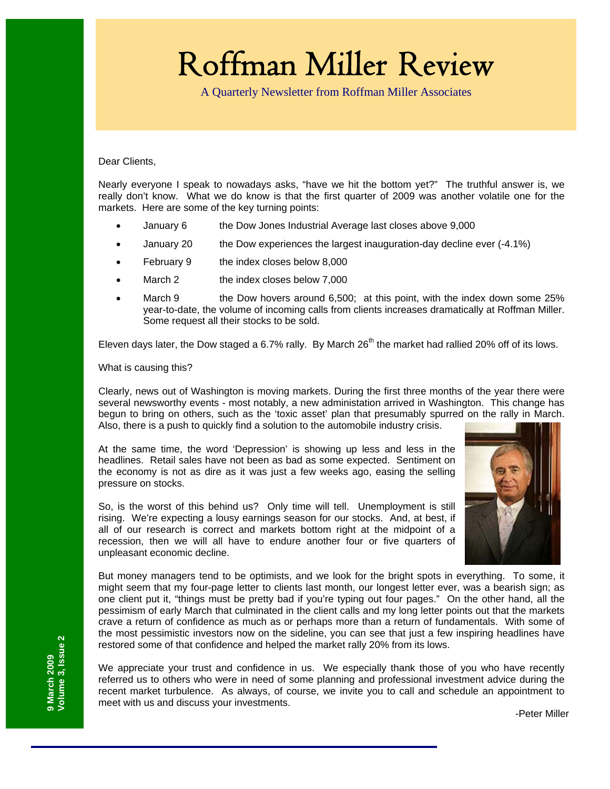# Roffman Miller Review

A Quarterly Newsletter from Roffman Miller Associates

Dear Clients,

Nearly everyone I speak to nowadays asks, "have we hit the bottom yet?" The truthful answer is, we really don't know. What we do know is that the first quarter of 2009 was another volatile one for the markets. Here are some of the key turning points:

- January 6 the Dow Jones Industrial Average last closes above 9,000
- January 20 the Dow experiences the largest inauguration-day decline ever (-4.1%)
- February 9 the index closes below 8,000
- March 2 the index closes below 7,000
- March 9 the Dow hovers around 6,500; at this point, with the index down some 25% year-to-date, the volume of incoming calls from clients increases dramatically at Roffman Miller. Some request all their stocks to be sold.

Eleven days later, the Dow staged a 6.7% rally. By March  $26<sup>th</sup>$  the market had rallied 20% off of its lows.

What is causing this?

Clearly, news out of Washington is moving markets. During the first three months of the year there were several newsworthy events - most notably, a new administation arrived in Washington. This change has begun to bring on others, such as the 'toxic asset' plan that presumably spurred on the rally in March. Also, there is a push to quickly find a solution to the automobile industry crisis.

At the same time, the word 'Depression' is showing up less and less in the headlines. Retail sales have not been as bad as some expected. Sentiment on the economy is not as dire as it was just a few weeks ago, easing the selling pressure on stocks.

So, is the worst of this behind us? Only time will tell. Unemployment is still rising. We're expecting a lousy earnings season for our stocks. And, at best, if all of our research is correct and markets bottom right at the midpoint of a recession, then we will all have to endure another four or five quarters of unpleasant economic decline.



But money managers tend to be optimists, and we look for the bright spots in everything. To some, it might seem that my four-page letter to clients last month, our longest letter ever, was a bearish sign; as one client put it, "things must be pretty bad if you're typing out four pages." On the other hand, all the pessimism of early March that culminated in the client calls and my long letter points out that the markets crave a return of confidence as much as or perhaps more than a return of fundamentals. With some of the most pessimistic investors now on the sideline, you can see that just a few inspiring headlines have restored some of that confidence and helped the market rally 20% from its lows.

We appreciate your trust and confidence in us. We especially thank those of you who have recently referred us to others who were in need of some planning and professional investment advice during the recent market turbulence. As always, of course, we invite you to call and schedule an appointment to meet with us and discuss your investments.

-Peter Miller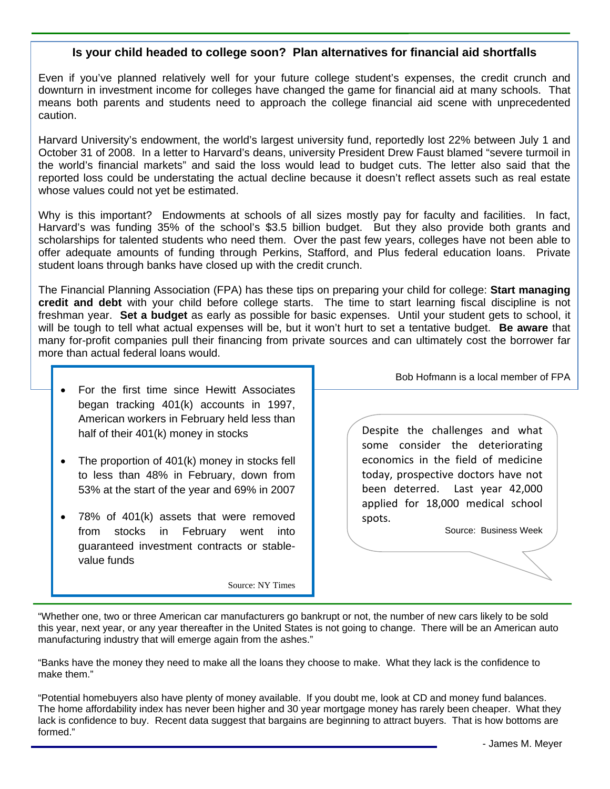#### **Is your child headed to college soon? Plan alternatives for financial aid shortfalls**

Even if you've planned relatively well for your future college student's expenses, the credit crunch and downturn in investment income for colleges have changed the game for financial aid at many schools. That means both parents and students need to approach the college financial aid scene with unprecedented caution.

Harvard University's endowment, the world's largest university fund, reportedly lost 22% between July 1 and October 31 of 2008. In a letter to Harvard's deans, university President Drew Faust blamed "severe turmoil in the world's financial markets" and said the loss would lead to budget cuts. The letter also said that the reported loss could be understating the actual decline because it doesn't reflect assets such as real estate whose values could not yet be estimated.

Why is this important? Endowments at schools of all sizes mostly pay for faculty and facilities. In fact, Harvard's was funding 35% of the school's \$3.5 billion budget. But they also provide both grants and scholarships for talented students who need them. Over the past few years, colleges have not been able to offer adequate amounts of funding through Perkins, Stafford, and Plus federal education loans. Private student loans through banks have closed up with the credit crunch.

The Financial Planning Association (FPA) has these tips on preparing your child for college: **Start managing credit and debt** with your child before college starts. The time to start learning fiscal discipline is not freshman year. **Set a budget** as early as possible for basic expenses. Until your student gets to school, it will be tough to tell what actual expenses will be, but it won't hurt to set a tentative budget. **Be aware** that many for-profit companies pull their financing from private sources and can ultimately cost the borrower far more than actual federal loans would.

- For the first time since Hewitt Associates began tracking 401(k) accounts in 1997, American workers in February held less than half of their 401(k) money in stocks
- The proportion of 401(k) money in stocks fell to less than 48% in February, down from 53% at the start of the year and 69% in 2007
- 78% of 401(k) assets that were removed from stocks in February went into guaranteed investment contracts or stablevalue funds

Source: NY Times

Bob Hofmann is a local member of FPA

Despite the challenges and what some consider the deteriorating economics in the field of medicine today, prospective doctors have not been deterred. Last year 42,000 applied for 18,000 medical school spots.

Source: Business Week

"Whether one, two or three American car manufacturers go bankrupt or not, the number of new cars likely to be sold this year, next year, or any year thereafter in the United States is not going to change. There will be an American auto manufacturing industry that will emerge again from the ashes."

"Banks have the money they need to make all the loans they choose to make. What they lack is the confidence to make them."

"Potential homebuyers also have plenty of money available. If you doubt me, look at CD and money fund balances. The home affordability index has never been higher and 30 year mortgage money has rarely been cheaper. What they lack is confidence to buy. Recent data suggest that bargains are beginning to attract buyers. That is how bottoms are formed."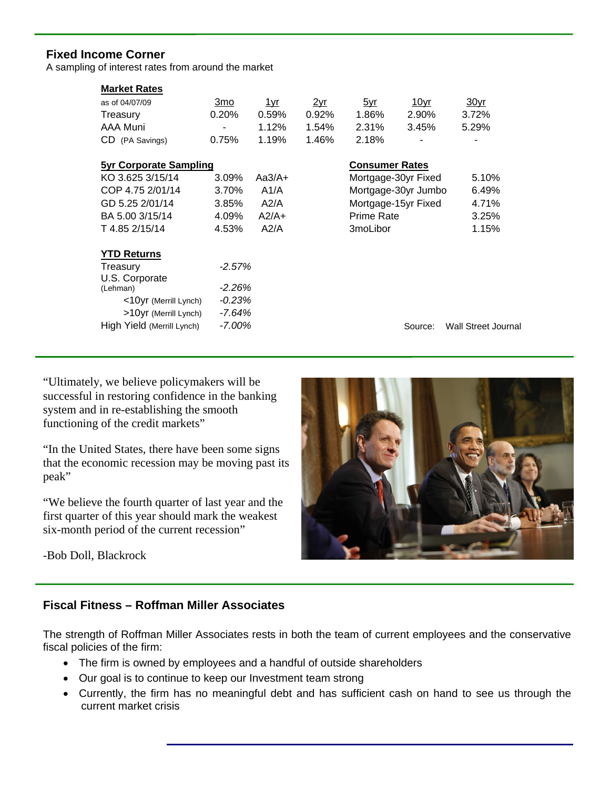## **Fixed Income Corner**

A sampling of interest rates from around the market

| <b>Market Rates</b>           |                |               |       |                       |             |                            |
|-------------------------------|----------------|---------------|-------|-----------------------|-------------|----------------------------|
| as of 04/07/09                | <u>3mo</u>     | <u> 1 yr </u> | 2yr   | <u>5yr</u>            | <u>10yr</u> | <u>30yr</u>                |
| Treasury                      | 0.20%          | 0.59%         | 0.92% | 1.86%                 | 2.90%       | 3.72%                      |
| AAA Muni                      | $\blacksquare$ | 1.12%         | 1.54% | 2.31%                 | 3.45%       | 5.29%                      |
| CD (PA Savings)               | 0.75%          | 1.19%         | 1.46% | 2.18%                 |             |                            |
| <b>5yr Corporate Sampling</b> |                |               |       |                       |             |                            |
|                               |                |               |       | <b>Consumer Rates</b> |             |                            |
| KO 3.625 3/15/14              | 3.09%          | $Aa3/A+$      |       | Mortgage-30yr Fixed   |             | 5.10%                      |
| COP 4.75 2/01/14              | 3.70%          | A1/A          |       | Mortgage-30yr Jumbo   |             | 6.49%                      |
| GD 5.25 2/01/14               | 3.85%          | A2/A          |       | Mortgage-15yr Fixed   |             | 4.71%                      |
| BA 5.00 3/15/14               | 4.09%          | $A2/A+$       |       | Prime Rate            |             | 3.25%                      |
| T 4.85 2/15/14                | 4.53%          | A2/A          |       | 3 <sub>mo</sub> Libor |             | 1.15%                      |
| <b>YTD Returns</b>            |                |               |       |                       |             |                            |
| Treasury                      | $-2.57%$       |               |       |                       |             |                            |
| U.S. Corporate                |                |               |       |                       |             |                            |
| (Lehman)                      | $-2.26%$       |               |       |                       |             |                            |
|                               |                |               |       |                       |             |                            |
| <10yr (Merrill Lynch)         | $-0.23\%$      |               |       |                       |             |                            |
| >10yr (Merrill Lynch)         | -7.64%         |               |       |                       |             |                            |
| High Yield (Merrill Lynch)    | $-7.00\%$      |               |       |                       | Source:     | <b>Wall Street Journal</b> |

"Ultimately, we believe policymakers will be successful in restoring confidence in the banking system and in re-establishing the smooth functioning of the credit markets"

"In the United States, there have been some signs that the economic recession may be moving past its peak"

"We believe the fourth quarter of last year and the first quarter of this year should mark the weakest six-month period of the current recession"

-Bob Doll, Blackrock

# **Fiscal Fitness – Roffman Miller Associates**

The strength of Roffman Miller Associates rests in both the team of current employees and the conservative fiscal policies of the firm:

- The firm is owned by employees and a handful of outside shareholders
- Our goal is to continue to keep our Investment team strong
- Currently, the firm has no meaningful debt and has sufficient cash on hand to see us through the current market crisis